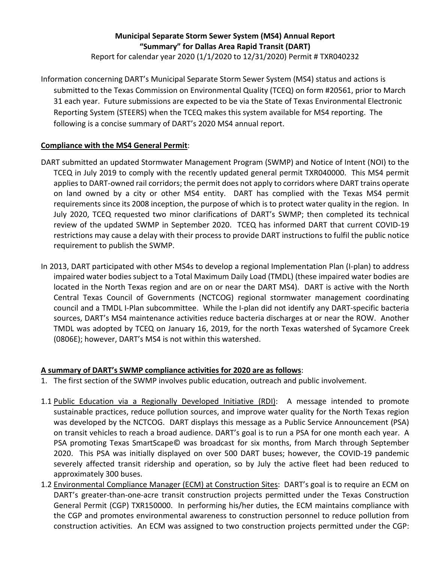# **Municipal Separate Storm Sewer System (MS4) Annual Report "Summary" for Dallas Area Rapid Transit (DART)**

Report for calendar year 2020 (1/1/2020 to 12/31/2020) Permit # TXR040232

Information concerning DART's Municipal Separate Storm Sewer System (MS4) status and actions is submitted to the Texas Commission on Environmental Quality (TCEQ) on form #20561, prior to March 31 each year. Future submissions are expected to be via the State of Texas Environmental Electronic Reporting System (STEERS) when the TCEQ makes this system available for MS4 reporting. The following is a concise summary of DART's 2020 MS4 annual report.

### **Compliance with the MS4 General Permit**:

- DART submitted an updated Stormwater Management Program (SWMP) and Notice of Intent (NOI) to the TCEQ in July 2019 to comply with the recently updated general permit TXR040000. This MS4 permit applies to DART-owned rail corridors; the permit does not apply to corridors where DART trains operate on land owned by a city or other MS4 entity. DART has complied with the Texas MS4 permit requirements since its 2008 inception, the purpose of which is to protect water quality in the region. In July 2020, TCEQ requested two minor clarifications of DART's SWMP; then completed its technical review of the updated SWMP in September 2020. TCEQ has informed DART that current COVID-19 restrictions may cause a delay with their process to provide DART instructions to fulfil the public notice requirement to publish the SWMP.
- In 2013, DART participated with other MS4s to develop a regional Implementation Plan (I-plan) to address impaired water bodies subject to a Total Maximum Daily Load (TMDL) (these impaired water bodies are located in the North Texas region and are on or near the DART MS4). DART is active with the North Central Texas Council of Governments (NCTCOG) regional stormwater management coordinating council and a TMDL I-Plan subcommittee. While the I-plan did not identify any DART-specific bacteria sources, DART's MS4 maintenance activities reduce bacteria discharges at or near the ROW. Another TMDL was adopted by TCEQ on January 16, 2019, for the north Texas watershed of Sycamore Creek (0806E); however, DART's MS4 is not within this watershed.

#### **A summary of DART's SWMP compliance activities for 2020 are as follows**:

- 1. The first section of the SWMP involves public education, outreach and public involvement.
- 1.1 Public Education via a Regionally Developed Initiative (RDI): A message intended to promote sustainable practices, reduce pollution sources, and improve water quality for the North Texas region was developed by the NCTCOG. DART displays this message as a Public Service Announcement (PSA) on transit vehicles to reach a broad audience. DART's goal is to run a PSA for one month each year. A PSA promoting Texas SmartScape© was broadcast for six months, from March through September 2020. This PSA was initially displayed on over 500 DART buses; however, the COVID-19 pandemic severely affected transit ridership and operation, so by July the active fleet had been reduced to approximately 300 buses.
- 1.2 Environmental Compliance Manager (ECM) at Construction Sites: DART's goal is to require an ECM on DART's greater-than-one-acre transit construction projects permitted under the Texas Construction General Permit (CGP) TXR150000. In performing his/her duties, the ECM maintains compliance with the CGP and promotes environmental awareness to construction personnel to reduce pollution from construction activities. An ECM was assigned to two construction projects permitted under the CGP: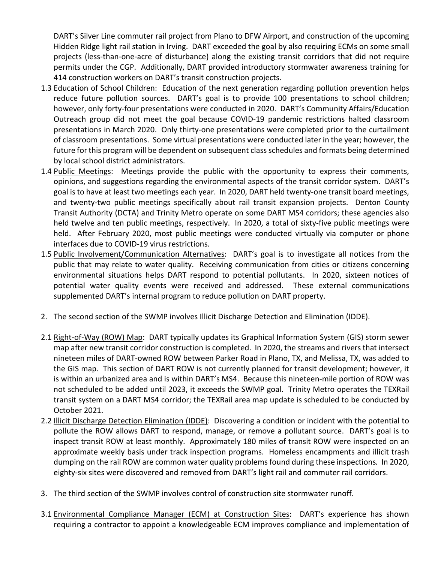DART's Silver Line commuter rail project from Plano to DFW Airport, and construction of the upcoming Hidden Ridge light rail station in Irving. DART exceeded the goal by also requiring ECMs on some small projects (less-than-one-acre of disturbance) along the existing transit corridors that did not require permits under the CGP. Additionally, DART provided introductory stormwater awareness training for 414 construction workers on DART's transit construction projects.

- 1.3 Education of School Children: Education of the next generation regarding pollution prevention helps reduce future pollution sources. DART's goal is to provide 100 presentations to school children; however, only forty-four presentations were conducted in 2020. DART's Community Affairs/Education Outreach group did not meet the goal because COVID-19 pandemic restrictions halted classroom presentations in March 2020. Only thirty-one presentations were completed prior to the curtailment of classroom presentations. Some virtual presentations were conducted later in the year; however, the future for this program will be dependent on subsequent class schedules and formats being determined by local school district administrators.
- 1.4 Public Meetings: Meetings provide the public with the opportunity to express their comments, opinions, and suggestions regarding the environmental aspects of the transit corridor system. DART's goal is to have at least two meetings each year. In 2020, DART held twenty-one transit board meetings, and twenty-two public meetings specifically about rail transit expansion projects. Denton County Transit Authority (DCTA) and Trinity Metro operate on some DART MS4 corridors; these agencies also held twelve and ten public meetings, respectively. In 2020, a total of sixty-five public meetings were held. After February 2020, most public meetings were conducted virtually via computer or phone interfaces due to COVID-19 virus restrictions.
- 1.5 Public Involvement/Communication Alternatives: DART's goal is to investigate all notices from the public that may relate to water quality. Receiving communication from cities or citizens concerning environmental situations helps DART respond to potential pollutants. In 2020, sixteen notices of potential water quality events were received and addressed. These external communications supplemented DART's internal program to reduce pollution on DART property.
- 2. The second section of the SWMP involves Illicit Discharge Detection and Elimination (IDDE).
- 2.1 Right-of-Way (ROW) Map: DART typically updates its Graphical Information System (GIS) storm sewer map after new transit corridor construction is completed. In 2020, the streams and rivers that intersect nineteen miles of DART-owned ROW between Parker Road in Plano, TX, and Melissa, TX, was added to the GIS map. This section of DART ROW is not currently planned for transit development; however, it is within an urbanized area and is within DART's MS4. Because this nineteen-mile portion of ROW was not scheduled to be added until 2023, it exceeds the SWMP goal. Trinity Metro operates the TEXRail transit system on a DART MS4 corridor; the TEXRail area map update is scheduled to be conducted by October 2021.
- 2.2 Illicit Discharge Detection Elimination (IDDE): Discovering a condition or incident with the potential to pollute the ROW allows DART to respond, manage, or remove a pollutant source. DART's goal is to inspect transit ROW at least monthly. Approximately 180 miles of transit ROW were inspected on an approximate weekly basis under track inspection programs. Homeless encampments and illicit trash dumping on the rail ROW are common water quality problems found during these inspections*.* In 2020, eighty-six sites were discovered and removed from DART's light rail and commuter rail corridors.
- 3. The third section of the SWMP involves control of construction site stormwater runoff.
- 3.1 Environmental Compliance Manager (ECM) at Construction Sites: DART's experience has shown requiring a contractor to appoint a knowledgeable ECM improves compliance and implementation of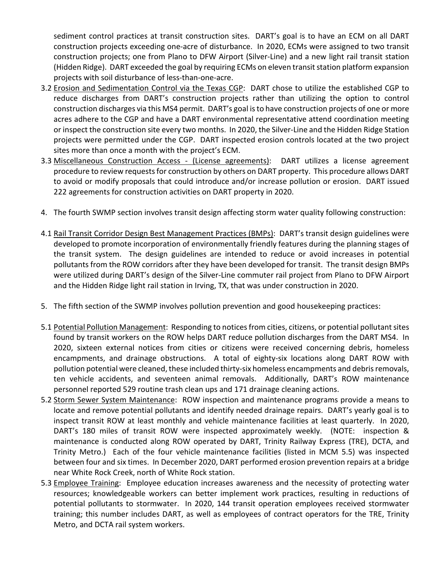sediment control practices at transit construction sites. DART's goal is to have an ECM on all DART construction projects exceeding one-acre of disturbance. In 2020, ECMs were assigned to two transit construction projects; one from Plano to DFW Airport (Silver-Line) and a new light rail transit station (Hidden Ridge). DART exceeded the goal by requiring ECMs on eleven transit station platform expansion projects with soil disturbance of less-than-one-acre.

- 3.2 Erosion and Sedimentation Control via the Texas CGP: DART chose to utilize the established CGP to reduce discharges from DART's construction projects rather than utilizing the option to control construction discharges via this MS4 permit. DART's goal is to have construction projects of one or more acres adhere to the CGP and have a DART environmental representative attend coordination meeting or inspect the construction site every two months. In 2020, the Silver-Line and the Hidden Ridge Station projects were permitted under the CGP. DART inspected erosion controls located at the two project sites more than once a month with the project's ECM.
- 3.3 Miscellaneous Construction Access (License agreements): DART utilizes a license agreement procedure to review requests for construction by others on DART property. This procedure allows DART to avoid or modify proposals that could introduce and/or increase pollution or erosion. DART issued 222 agreements for construction activities on DART property in 2020.
- 4. The fourth SWMP section involves transit design affecting storm water quality following construction:
- 4.1 Rail Transit Corridor Design Best Management Practices (BMPs): DART's transit design guidelines were developed to promote incorporation of environmentally friendly features during the planning stages of the transit system. The design guidelines are intended to reduce or avoid increases in potential pollutants from the ROW corridors after they have been developed for transit. The transit design BMPs were utilized during DART's design of the Silver-Line commuter rail project from Plano to DFW Airport and the Hidden Ridge light rail station in Irving, TX, that was under construction in 2020.
- 5. The fifth section of the SWMP involves pollution prevention and good housekeeping practices:
- 5.1 Potential Pollution Management: Responding to notices from cities, citizens, or potential pollutant sites found by transit workers on the ROW helps DART reduce pollution discharges from the DART MS4. In 2020, sixteen external notices from cities or citizens were received concerning debris, homeless encampments, and drainage obstructions. A total of eighty-six locations along DART ROW with pollution potential were cleaned, these included thirty-six homeless encampments and debris removals, ten vehicle accidents, and seventeen animal removals. Additionally, DART's ROW maintenance personnel reported 529 routine trash clean ups and 171 drainage cleaning actions.
- 5.2 Storm Sewer System Maintenance: ROW inspection and maintenance programs provide a means to locate and remove potential pollutants and identify needed drainage repairs. DART's yearly goal is to inspect transit ROW at least monthly and vehicle maintenance facilities at least quarterly. In 2020, DART's 180 miles of transit ROW were inspected approximately weekly. (NOTE: inspection & maintenance is conducted along ROW operated by DART, Trinity Railway Express (TRE), DCTA, and Trinity Metro.) Each of the four vehicle maintenance facilities (listed in MCM 5.5) was inspected between four and six times. In December 2020, DART performed erosion prevention repairs at a bridge near White Rock Creek, north of White Rock station.
- 5.3 Employee Training: Employee education increases awareness and the necessity of protecting water resources; knowledgeable workers can better implement work practices, resulting in reductions of potential pollutants to stormwater. In 2020, 144 transit operation employees received stormwater training; this number includes DART, as well as employees of contract operators for the TRE, Trinity Metro, and DCTA rail system workers.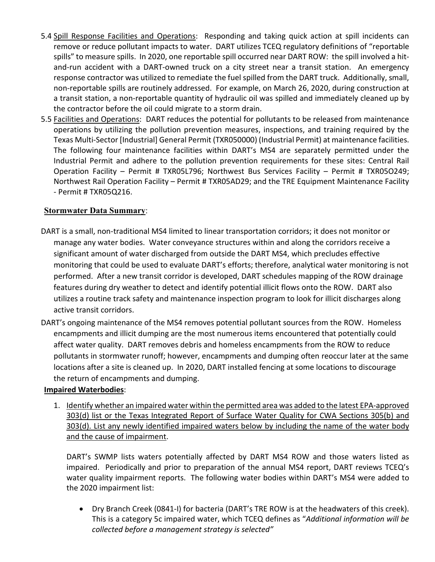- 5.4 Spill Response Facilities and Operations: Responding and taking quick action at spill incidents can remove or reduce pollutant impacts to water. DART utilizes TCEQ regulatory definitions of "reportable spills" to measure spills. In 2020, one reportable spill occurred near DART ROW: the spill involved a hitand-run accident with a DART-owned truck on a city street near a transit station. An emergency response contractor was utilized to remediate the fuel spilled from the DART truck. Additionally, small, non-reportable spills are routinely addressed. For example, on March 26, 2020, during construction at a transit station, a non-reportable quantity of hydraulic oil was spilled and immediately cleaned up by the contractor before the oil could migrate to a storm drain.
- 5.5 Facilities and Operations: DART reduces the potential for pollutants to be released from maintenance operations by utilizing the pollution prevention measures, inspections, and training required by the Texas Multi-Sector [Industrial] General Permit (TXR050000) (Industrial Permit) at maintenance facilities. The following four maintenance facilities within DART's MS4 are separately permitted under the Industrial Permit and adhere to the pollution prevention requirements for these sites: Central Rail Operation Facility – Permit # TXR05L796; Northwest Bus Services Facility – Permit # TXR05O249; Northwest Rail Operation Facility – Permit # TXR05AD29; and the TRE Equipment Maintenance Facility - Permit # TXR05Q216.

## **Stormwater Data Summary**:

- DART is a small, non-traditional MS4 limited to linear transportation corridors; it does not monitor or manage any water bodies. Water conveyance structures within and along the corridors receive a significant amount of water discharged from outside the DART MS4, which precludes effective monitoring that could be used to evaluate DART's efforts; therefore, analytical water monitoring is not performed. After a new transit corridor is developed, DART schedules mapping of the ROW drainage features during dry weather to detect and identify potential illicit flows onto the ROW. DART also utilizes a routine track safety and maintenance inspection program to look for illicit discharges along active transit corridors.
- DART's ongoing maintenance of the MS4 removes potential pollutant sources from the ROW. Homeless encampments and illicit dumping are the most numerous items encountered that potentially could affect water quality. DART removes debris and homeless encampments from the ROW to reduce pollutants in stormwater runoff; however, encampments and dumping often reoccur later at the same locations after a site is cleaned up. In 2020, DART installed fencing at some locations to discourage the return of encampments and dumping.

#### **Impaired Waterbodies**:

1. Identify whether an impaired water within the permitted area was added to the latest EPA-approved 303(d) list or the Texas Integrated Report of Surface Water Quality for CWA Sections 305(b) and 303(d). List any newly identified impaired waters below by including the name of the water body and the cause of impairment.

DART's SWMP lists waters potentially affected by DART MS4 ROW and those waters listed as impaired. Periodically and prior to preparation of the annual MS4 report, DART reviews TCEQ's water quality impairment reports. The following water bodies within DART's MS4 were added to the 2020 impairment list:

• Dry Branch Creek (0841-I) for bacteria (DART's TRE ROW is at the headwaters of this creek). This is a category 5c impaired water, which TCEQ defines as "*Additional information will be collected before a management strategy is selected"*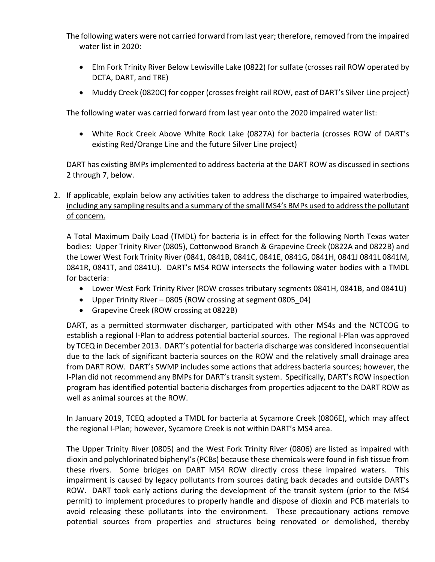The following waters were not carried forward from last year; therefore, removed from the impaired water list in 2020:

- Elm Fork Trinity River Below Lewisville Lake (0822) for sulfate (crosses rail ROW operated by DCTA, DART, and TRE)
- Muddy Creek (0820C) for copper (crosses freight rail ROW, east of DART's Silver Line project)

The following water was carried forward from last year onto the 2020 impaired water list:

• White Rock Creek Above White Rock Lake (0827A) for bacteria (crosses ROW of DART's existing Red/Orange Line and the future Silver Line project)

DART has existing BMPs implemented to address bacteria at the DART ROW as discussed in sections 2 through 7, below.

2. If applicable, explain below any activities taken to address the discharge to impaired waterbodies, including any sampling results and a summary of the small MS4's BMPs used to address the pollutant of concern.

A Total Maximum Daily Load (TMDL) for bacteria is in effect for the following North Texas water bodies: Upper Trinity River (0805), Cottonwood Branch & Grapevine Creek (0822A and 0822B) and the Lower West Fork Trinity River (0841, 0841B, 0841C, 0841E, 0841G, 0841H, 0841J 0841L 0841M, 0841R, 0841T, and 0841U). DART's MS4 ROW intersects the following water bodies with a TMDL for bacteria:

- Lower West Fork Trinity River (ROW crosses tributary segments 0841H, 0841B, and 0841U)
- Upper Trinity River 0805 (ROW crossing at segment 0805\_04)
- Grapevine Creek (ROW crossing at 0822B)

DART, as a permitted stormwater discharger, participated with other MS4s and the NCTCOG to establish a regional I-Plan to address potential bacterial sources. The regional I-Plan was approved by TCEQ in December 2013. DART's potential for bacteria discharge was considered inconsequential due to the lack of significant bacteria sources on the ROW and the relatively small drainage area from DART ROW. DART's SWMP includes some actions that address bacteria sources; however, the I-Plan did not recommend any BMPs for DART's transit system. Specifically, DART's ROW inspection program has identified potential bacteria discharges from properties adjacent to the DART ROW as well as animal sources at the ROW.

In January 2019, TCEQ adopted a TMDL for bacteria at Sycamore Creek (0806E), which may affect the regional I-Plan; however, Sycamore Creek is not within DART's MS4 area.

The Upper Trinity River (0805) and the West Fork Trinity River (0806) are listed as impaired with dioxin and polychlorinated biphenyl's (PCBs) because these chemicals were found in fish tissue from these rivers. Some bridges on DART MS4 ROW directly cross these impaired waters. This impairment is caused by legacy pollutants from sources dating back decades and outside DART's ROW. DART took early actions during the development of the transit system (prior to the MS4 permit) to implement procedures to properly handle and dispose of dioxin and PCB materials to avoid releasing these pollutants into the environment. These precautionary actions remove potential sources from properties and structures being renovated or demolished, thereby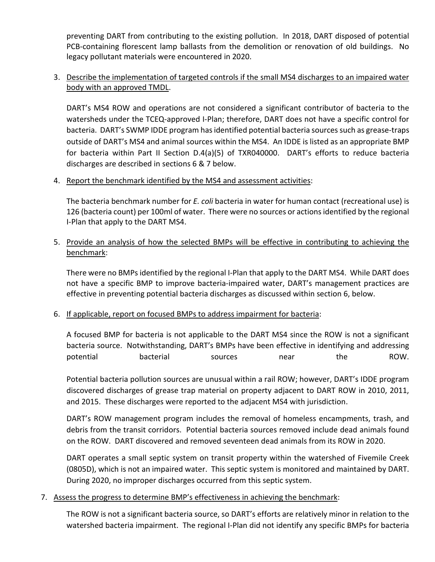preventing DART from contributing to the existing pollution. In 2018, DART disposed of potential PCB-containing florescent lamp ballasts from the demolition or renovation of old buildings. No legacy pollutant materials were encountered in 2020.

# 3. Describe the implementation of targeted controls if the small MS4 discharges to an impaired water body with an approved TMDL.

DART's MS4 ROW and operations are not considered a significant contributor of bacteria to the watersheds under the TCEQ-approved I-Plan; therefore, DART does not have a specific control for bacteria. DART's SWMP IDDE program has identified potential bacteria sources such as grease-traps outside of DART's MS4 and animal sources within the MS4. An IDDE is listed as an appropriate BMP for bacteria within Part II Section D.4(a)(5) of TXR040000. DART's efforts to reduce bacteria discharges are described in sections 6 & 7 below.

## 4. Report the benchmark identified by the MS4 and assessment activities:

The bacteria benchmark number for *E. coli* bacteria in water for human contact (recreational use) is 126 (bacteria count) per 100ml of water. There were no sources or actions identified by the regional I-Plan that apply to the DART MS4.

# 5. Provide an analysis of how the selected BMPs will be effective in contributing to achieving the benchmark:

There were no BMPs identified by the regional I-Plan that apply to the DART MS4. While DART does not have a specific BMP to improve bacteria-impaired water, DART's management practices are effective in preventing potential bacteria discharges as discussed within section 6, below.

## 6. If applicable, report on focused BMPs to address impairment for bacteria:

A focused BMP for bacteria is not applicable to the DART MS4 since the ROW is not a significant bacteria source. Notwithstanding, DART's BMPs have been effective in identifying and addressing potential bacterial sources near the ROW.

Potential bacteria pollution sources are unusual within a rail ROW; however, DART's IDDE program discovered discharges of grease trap material on property adjacent to DART ROW in 2010, 2011, and 2015. These discharges were reported to the adjacent MS4 with jurisdiction.

DART's ROW management program includes the removal of homeless encampments, trash, and debris from the transit corridors. Potential bacteria sources removed include dead animals found on the ROW. DART discovered and removed seventeen dead animals from its ROW in 2020.

DART operates a small septic system on transit property within the watershed of Fivemile Creek (0805D), which is not an impaired water. This septic system is monitored and maintained by DART. During 2020, no improper discharges occurred from this septic system.

#### 7. Assess the progress to determine BMP's effectiveness in achieving the benchmark:

The ROW is not a significant bacteria source, so DART's efforts are relatively minor in relation to the watershed bacteria impairment. The regional I-Plan did not identify any specific BMPs for bacteria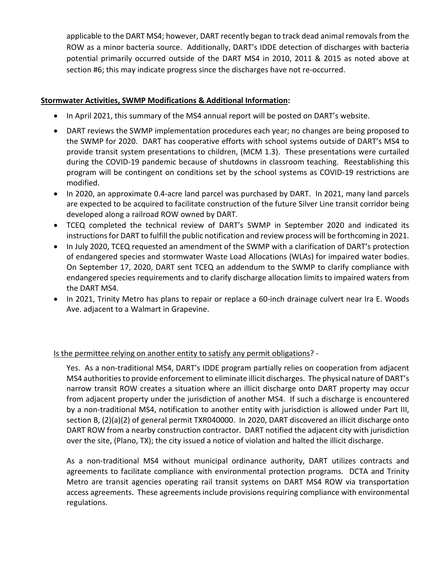applicable to the DART MS4; however, DART recently began to track dead animal removals from the ROW as a minor bacteria source. Additionally, DART's IDDE detection of discharges with bacteria potential primarily occurred outside of the DART MS4 in 2010, 2011 & 2015 as noted above at section #6; this may indicate progress since the discharges have not re-occurred.

### **Stormwater Activities, SWMP Modifications & Additional Information:**

- In April 2021, this summary of the MS4 annual report will be posted on DART's website.
- DART reviews the SWMP implementation procedures each year; no changes are being proposed to the SWMP for 2020. DART has cooperative efforts with school systems outside of DART's MS4 to provide transit system presentations to children, (MCM 1.3). These presentations were curtailed during the COVID-19 pandemic because of shutdowns in classroom teaching. Reestablishing this program will be contingent on conditions set by the school systems as COVID-19 restrictions are modified.
- In 2020, an approximate 0.4-acre land parcel was purchased by DART. In 2021, many land parcels are expected to be acquired to facilitate construction of the future Silver Line transit corridor being developed along a railroad ROW owned by DART.
- TCEQ completed the technical review of DART's SWMP in September 2020 and indicated its instructions for DART to fulfill the public notification and review process will be forthcoming in 2021.
- In July 2020, TCEQ requested an amendment of the SWMP with a clarification of DART's protection of endangered species and stormwater Waste Load Allocations (WLAs) for impaired water bodies. On September 17, 2020, DART sent TCEQ an addendum to the SWMP to clarify compliance with endangered species requirements and to clarify discharge allocation limits to impaired waters from the DART MS4.
- In 2021, Trinity Metro has plans to repair or replace a 60-inch drainage culvert near Ira E. Woods Ave. adjacent to a Walmart in Grapevine.

## Is the permittee relying on another entity to satisfy any permit obligations? -

Yes. As a non-traditional MS4, DART's IDDE program partially relies on cooperation from adjacent MS4 authorities to provide enforcement to eliminate illicit discharges. The physical nature of DART's narrow transit ROW creates a situation where an illicit discharge onto DART property may occur from adjacent property under the jurisdiction of another MS4. If such a discharge is encountered by a non-traditional MS4, notification to another entity with jurisdiction is allowed under Part III, section B, (2)(a)(2) of general permit TXR040000. In 2020, DART discovered an illicit discharge onto DART ROW from a nearby construction contractor. DART notified the adjacent city with jurisdiction over the site, (Plano, TX); the city issued a notice of violation and halted the illicit discharge.

As a non-traditional MS4 without municipal ordinance authority, DART utilizes contracts and agreements to facilitate compliance with environmental protection programs. DCTA and Trinity Metro are transit agencies operating rail transit systems on DART MS4 ROW via transportation access agreements. These agreements include provisions requiring compliance with environmental regulations.